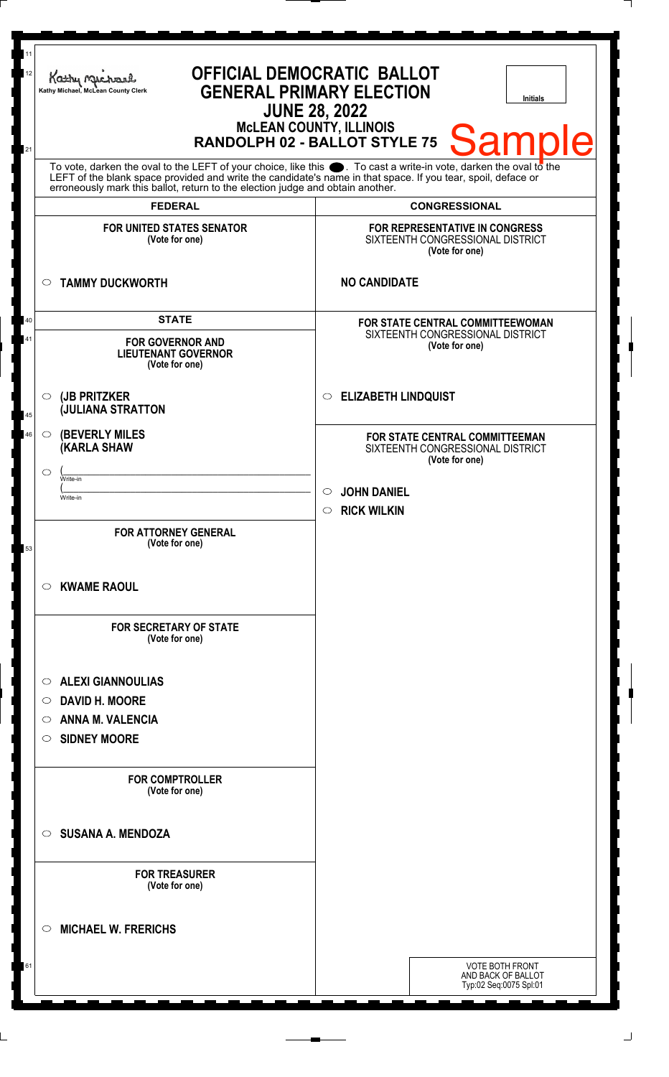| 11<br>12<br>21 | <b>OFFICIAL DEMOCRATIC BALLOT</b><br>Kathy Michael<br><b>GENERAL PRIMARY ELECTION</b><br>Kathy Michael, McLean County Clerk<br><b>Initials</b><br><b>JUNE 28, 2022</b><br><b>McLEAN COUNTY, ILLINOIS</b><br><b>Sample</b><br>RANDOLPH 02 - BALLOT STYLE 75                                                             |                                                                                        |
|----------------|------------------------------------------------------------------------------------------------------------------------------------------------------------------------------------------------------------------------------------------------------------------------------------------------------------------------|----------------------------------------------------------------------------------------|
|                | To vote, darken the oval to the LEFT of your choice, like this $\bullet$ . To cast a write-in vote, darken the oval to the LEFT of the blank space provided and write the candidate's name in that space. If you tear, spoil, deface<br>erroneously mark this ballot, return to the election judge and obtain another. |                                                                                        |
|                | <b>FEDERAL</b>                                                                                                                                                                                                                                                                                                         | <b>CONGRESSIONAL</b>                                                                   |
|                | <b>FOR UNITED STATES SENATOR</b><br>(Vote for one)                                                                                                                                                                                                                                                                     | FOR REPRESENTATIVE IN CONGRESS<br>SIXTEENTH CONGRESSIONAL DISTRICT<br>(Vote for one)   |
|                | <b>TAMMY DUCKWORTH</b><br>$\circ$                                                                                                                                                                                                                                                                                      | <b>NO CANDIDATE</b>                                                                    |
| 40<br>41       | <b>STATE</b><br><b>FOR GOVERNOR AND</b><br><b>LIEUTENANT GOVERNOR</b><br>(Vote for one)                                                                                                                                                                                                                                | FOR STATE CENTRAL COMMITTEEWOMAN<br>SIXTEENTH CONGRESSIONAL DISTRICT<br>(Vote for one) |
| 45             | (JB PRITZKER<br>$\circ$<br><b>JULIANA STRATTON</b>                                                                                                                                                                                                                                                                     | <b>ELIZABETH LINDQUIST</b><br>$\circ$                                                  |
| 46             | <b>(BEVERLY MILES</b><br>$\circ$<br><b>(KARLA SHAW</b><br>$\circ$                                                                                                                                                                                                                                                      | FOR STATE CENTRAL COMMITTEEMAN<br>SIXTEENTH CONGRESSIONAL DISTRICT<br>(Vote for one)   |
|                | Write-in<br>Write-in                                                                                                                                                                                                                                                                                                   | $\circ$ JOHN DANIEL<br><b>RICK WILKIN</b><br>$\circ$                                   |
| 53             | <b>FOR ATTORNEY GENERAL</b><br>(Vote for one)                                                                                                                                                                                                                                                                          |                                                                                        |
|                | <b>KWAME RAOUL</b><br>$\circ$                                                                                                                                                                                                                                                                                          |                                                                                        |
|                | <b>FOR SECRETARY OF STATE</b><br>(Vote for one)                                                                                                                                                                                                                                                                        |                                                                                        |
|                | <b>ALEXI GIANNOULIAS</b><br>$\circ$                                                                                                                                                                                                                                                                                    |                                                                                        |
|                | <b>DAVID H. MOORE</b><br>$\circ$                                                                                                                                                                                                                                                                                       |                                                                                        |
|                | <b>ANNA M. VALENCIA</b><br>O                                                                                                                                                                                                                                                                                           |                                                                                        |
|                | <b>SIDNEY MOORE</b><br>$\circ$                                                                                                                                                                                                                                                                                         |                                                                                        |
|                | <b>FOR COMPTROLLER</b><br>(Vote for one)                                                                                                                                                                                                                                                                               |                                                                                        |
|                | <b>SUSANA A. MENDOZA</b><br>$\circ$                                                                                                                                                                                                                                                                                    |                                                                                        |
|                | <b>FOR TREASURER</b><br>(Vote for one)                                                                                                                                                                                                                                                                                 |                                                                                        |
|                | <b>MICHAEL W. FRERICHS</b><br>$\circ$                                                                                                                                                                                                                                                                                  |                                                                                        |
| 61             |                                                                                                                                                                                                                                                                                                                        | <b>VOTE BOTH FRONT</b><br>AND BACK OF BALLOT<br>Typ:02 Seq:0075 Spl:01                 |

 $\Box$